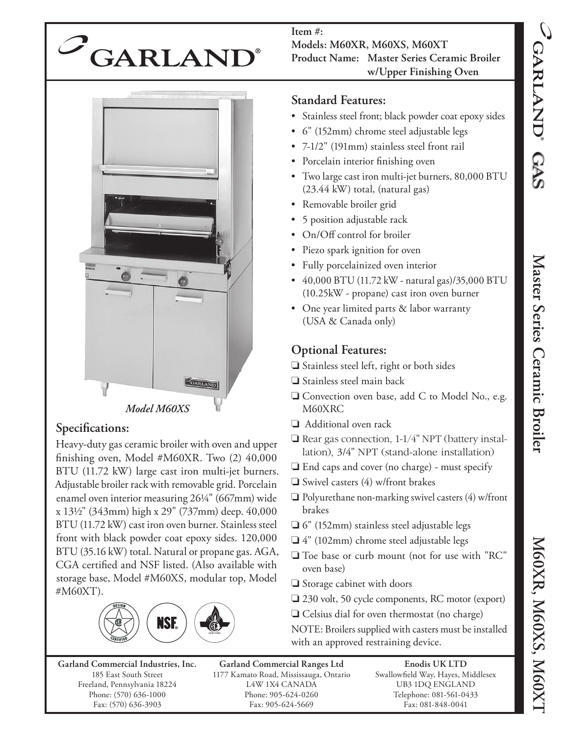

**Item #: Models: M60XR, M60XS, M60XT Product Name: Master Series Ceramic Broiler w/Upper Finishing Oven**



## Specifications:

Heavy-duty gas ceramic broiler with oven and upper finishing oven, Model  $#M60XR$ . Two  $(2)$  40,000 BTU (11.72 kW) large cast iron multi-jet burners. Adjustable broiler rack with removable grid. Porcelain enamel oven interior measuring 26¼" (667mm) wide x 13½" (343mm) high x 29" (737mm) deep. 40,000 BTU (11.72 kW) cast iron oven burner. Stainless steel front with black powder coat epoxy sides. 120,000 BTU (35.16 kW) total. Natural or propane gas. AGA, CGA certified and NSF listed. (Also available with storage base, Model #M60XS, modular top, Model #M60XT).



**Garland Commercial Industries, Inc.** 185 East South Street Freeland, Pennsylvania 18224 Phone: (570) 636-1000 Fax: (570) 636-3903

**Garland Commercial Ranges Ltd** 1177 Kamato Road, Mississauga, Ontario L4W 1X4 CANADA Phone: 905-624-0260 Fax: 905-624-5669

**Enodis UK LTD** Swallowfield Way, Hayes, Middlesex UB3 1DQ ENGLAND Telephone: 081-561-0433 Fax: 081-848-0041

## **Standard Features:**

- Stainless steel front; black powder coat epoxy sides
- 6" (152mm) chrome steel adjustable legs
- 7-1/2" (191mm) stainless steel front rail
- Porcelain interior finishing oven
- Two large cast iron multi-jet burners, 80,000 BTU (23.44 kW) total, (natural gas)
- Removable broiler grid
- 5 position adjustable rack
- On/Off control for broiler
- Piezo spark ignition for oven
- Fully porcelainized oven interior
- 40,000 BTU (11.72 kW natural gas)/35,000 BTU (10.25kW - propane) cast iron oven burner
- One year limited parts & labor warranty (USA & Canada only)

## **Optional Features:**

- ❏ Stainless steel left, right or both sides
- ❏ Stainless steel main back
- ❏ Convection oven base, add C to Model No., e.g. M60XRC
- ❏ Additional oven rack
- ❏ Rear gas connection, 1-1/4" NPT (battery installation), 3/4" NPT (stand-alone installation)
- ❏ End caps and cover (no charge) must specify
- ❏ Swivel casters (4) w/front brakes
- ❏ Polyurethane non-marking swivel casters (4) w/front brakes
- ❏ 6" (152mm) stainless steel adjustable legs
- ❏ 4" (102mm) chrome steel adjustable legs
- ❏ Toe base or curb mount (not for use with "RC" oven base)
- ❏ Storage cabinet with doors
- ❏ 230 volt, 50 cycle components, RC motor (export)
- ❏ Celsius dial for oven thermostat (no charge)

NOTE: Broilers supplied with casters must be installed with an approved restraining device.